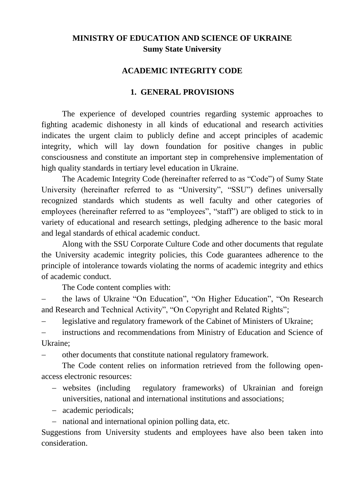# **MINISTRY OF EDUCATION AND SCIENCE OF UKRAINE Sumy State University**

### **ACADEMIC INTEGRITY CODE**

### **1. GENERAL PROVISIONS**

The experience of developed countries regarding systemic approaches to fighting academic dishonesty in all kinds of educational and research activities indicates the urgent claim to publicly define and accept principles of academic integrity, which will lay down foundation for positive changes in public consciousness and constitute an important step in comprehensive implementation of high quality standards in tertiary level education in Ukraine.

The Academic Integrity Code (hereinafter referred to as "Code") of Sumy State University (hereinafter referred to as "University", "SSU") defines universally recognized standards which students as well faculty and other categories of employees (hereinafter referred to as "employees", "staff") are obliged to stick to in variety of educational and research settings, pledging adherence to the basic moral and legal standards of ethical academic conduct.

Along with the SSU Corporate Culture Code and other documents that regulate the University academic integrity policies, this Code guarantees adherence to the principle of intolerance towards violating the norms of academic integrity and ethics of academic conduct.

The Code content complies with:

 the laws of Ukraine "On Education", "On Higher Education", "On Research and Research and Technical Activity", "On Copyright and Related Rights";

legislative and regulatory framework of the Cabinet of Ministers of Ukraine;

 instructions and recommendations from Ministry of Education and Science of Ukraine;

other documents that constitute national regulatory framework.

The Code content relies on information retrieved from the following openaccess electronic resources:

- websites (including regulatory frameworks) of Ukrainian and foreign universities, national and international institutions and associations;
- academic periodicals;

- national and international opinion polling data, etc.

Suggestions from University students and employees have also been taken into consideration.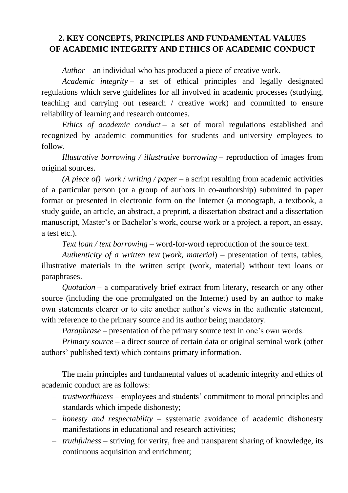## **2. KEY CONCEPTS, PRINCIPLES AND FUNDAMENTAL VALUES OF ACADEMIC INTEGRITY AND ETHICS OF ACADEMIC CONDUCT**

*Author* – an individual who has produced a piece of creative work.

*Academic integrity* – a set of ethical principles and legally designated regulations which serve guidelines for all involved in academic processes (studying, teaching and carrying out research / creative work) and committed to ensure reliability of learning and research outcomes.

*Ethics of academic conduct* – a set of moral regulations established and recognized by academic communities for students and university employees to follow.

*Illustrative borrowing / illustrative borrowing* – reproduction of images from original sources.

*(A piece of) work* / *writing / paper* – a script resulting from academic activities of a particular person (or a group of authors in co-authorship) submitted in paper format or presented in electronic form on the Internet (a monograph, a textbook, a study guide, an article, an abstract, a preprint, a dissertation abstract and a dissertation manuscript, Master's or Bachelor's work, course work or a project, a report, an essay, a test etc.).

*Text loan / text borrowing* – word-for-word reproduction of the source text.

*Authenticity of a written text* (*work, material*) – presentation of texts, tables, illustrative materials in the written script (work, material) without text loans or paraphrases.

*Quotation* – a comparatively brief extract from literary, research or any other source (including the one promulgated on the Internet) used by an author to make own statements clearer or to cite another author's views in the authentic statement, with reference to the primary source and its author being mandatory.

*Paraphrase* – presentation of the primary source text in one's own words.

*Primary source* – a direct source of certain data or original seminal work (other authors' published text) which contains primary information.

The main principles and fundamental values of academic integrity and ethics of academic conduct are as follows:

- *trustworthiness* employees and students' commitment to moral principles and standards which impede dishonesty;
- *honesty and respectability* systematic avoidance of academic dishonesty manifestations in educational and research activities;
- *truthfulness* striving for verity, free and transparent sharing of knowledge, its continuous acquisition and enrichment;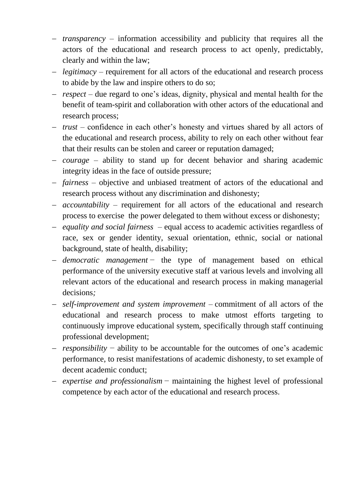- *transparency* information accessibility and publicity that requires all the actors of the educational and research process to act openly, predictably, clearly and within the law;
- *legitimacy* requirement for all actors of the educational and research process to abide by the law and inspire others to do so;
- *respect* due regard to one's ideas, dignity, physical and mental health for the benefit of team-spirit and collaboration with other actors of the educational and research process;
- *trust* confidence in each other's honesty and virtues shared by all actors of the educational and research process, ability to rely on each other without fear that their results can be stolen and career or reputation damaged;
- *courage* ability to stand up for decent behavior and sharing academic integrity ideas in the face of outside pressure;
- *fairness* objective and unbiased treatment of actors of the educational and research process without any discrimination and dishonesty;
- *accountability* requirement for all actors of the educational and research process to exercise the power delegated to them without excess or dishonesty;
- *equality and social fairness*  equal access to academic activities regardless of race, sex or gender identity, sexual orientation, ethnic, social or national background, state of health, disability;
- *democratic management* − the type of management based on ethical performance of the university executive staff at various levels and involving all relevant actors of the educational and research process in making managerial decisions*;*
- *self-improvement and system improvement –* commitment of all actors of the educational and research process to make utmost efforts targeting to continuously improve educational system, specifically through staff continuing professional development;
- *responsibility* − ability to be accountable for the outcomes of one's academic performance, to resist manifestations of academic dishonesty, to set example of decent academic conduct;
- *expertise and professionalism* − maintaining the highest level of professional competence by each actor of the educational and research process.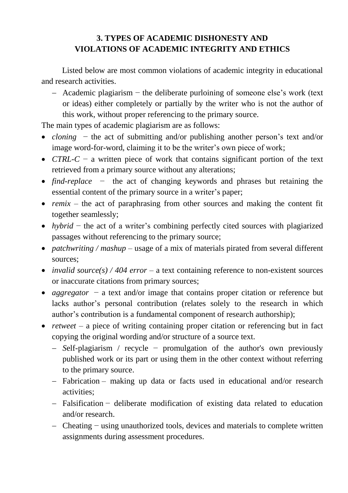# **3. TYPES OF ACADEMIC DISHONESTY AND VIOLATIONS OF ACADEMIC INTEGRITY AND ETHICS**

Listed below are most common violations of academic integrity in educational and research activities.

 Academic plagiarism − the deliberate purloining of someone else's work (text or ideas) either completely or partially by the writer who is not the author of this work, without proper referencing to the primary source.

The main types of academic plagiarism are as follows:

- *cloning* − the act of submitting and/or publishing another person's text and/or image word-for-word, claiming it to be the writer's own piece of work;
- *CTRL-C* − a written piece of work that contains significant portion of the text retrieved from a primary source without any alterations;
- *find-replace* − the act of changing keywords and phrases but retaining the essential content of the primary source in a writer's paper;
- *remix* the act of paraphrasing from other sources and making the content fit together seamlessly;
- *hybrid* − the act of a writer's combining perfectly cited sources with plagiarized passages without referencing to the primary source;
- *patchwriting* / *mashup* usage of a mix of materials pirated from several different sources;
- *invalid source(s) / 404 error* a text containing reference to non-existent sources or inaccurate citations from primary sources;
- *aggregator* − a text and/or image that contains proper citation or reference but lacks author's personal contribution (relates solely to the research in which author's contribution is a fundamental component of research authorship);
- *retweet* a piece of writing containing proper citation or referencing but in fact copying the original wording and/or structure of a source text.
	- *S*elf-plagiarism / recycle − promulgation of the author's own previously published work or its part or using them in the other context without referring to the primary source.
	- Fabrication making up data or facts used in educational and/or research activities;
	- Falsification − deliberate modification of existing data related to education and/or research.
	- Cheating − using unauthorized tools, devices and materials to complete written assignments during assessment procedures.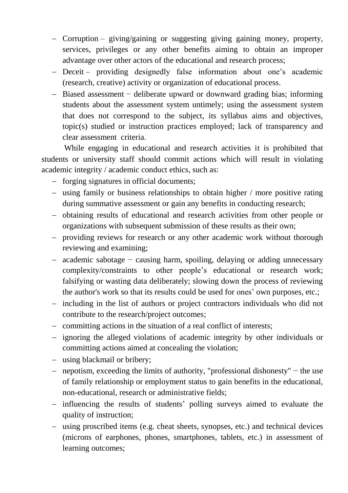- Corruption giving/gaining or suggesting giving gaining money, property, services, privileges or any other benefits aiming to obtain an improper advantage over other actors of the educational and research process;
- Deceit providing designedly false information about one's academic (research, creative) activity or organization of educational process.
- Biased assessment − deliberate upward or downward grading bias; informing students about the assessment system untimely; using the assessment system that does not correspond to the subject, its syllabus aims and objectives, topic(s) studied or instruction practices employed; lack of transparency and clear assessment criteria.

While engaging in educational and research activities it is prohibited that students or university staff should commit actions which will result in violating academic integrity / academic conduct ethics, such as:

- forging signatures in official documents;
- using family or business relationships to obtain higher / more positive rating during summative assessment or gain any benefits in conducting research;
- obtaining results of educational and research activities from other people or organizations with subsequent submission of these results as their own;
- providing reviews for research or any other academic work without thorough reviewing and examining;
- academic sabotage − causing harm, spoiling, delaying or adding unnecessary complexity/constraints to other people's educational or research work; falsifying or wasting data deliberately; slowing down the process of reviewing the author's work so that its results could be used for ones' own purposes, etc.;
- including in the list of authors or project contractors individuals who did not contribute to the research/project outcomes;
- committing actions in the situation of a real conflict of interests;
- ignoring the alleged violations of academic integrity by other individuals or committing actions aimed at concealing the violation;
- using blackmail or bribery;
- nepotism, exceeding the limits of authority, "professional dishonesty" − the use of family relationship or employment status to gain benefits in the educational, non-educational, research or administrative fields;
- influencing the results of students' polling surveys aimed to evaluate the quality of instruction;
- using proscribed items (e.g. cheat sheets, synopses, etc.) and technical devices (microns of earphones, phones, smartphones, tablets, etc.) in assessment of learning outcomes;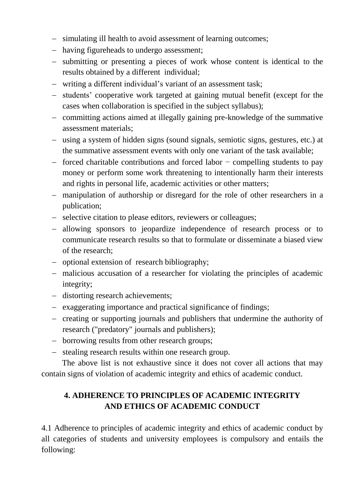- simulating ill health to avoid assessment of learning outcomes;
- having figureheads to undergo assessment;
- submitting or presenting a pieces of work whose content is identical to the results obtained by a different individual;
- writing a different individual's variant of an assessment task;
- students' cooperative work targeted at gaining mutual benefit (except for the cases when collaboration is specified in the subject syllabus);
- committing actions aimed at illegally gaining pre-knowledge of the summative assessment materials;
- using a system of hidden signs (sound signals, semiotic signs, gestures, etc.) at the summative assessment events with only one variant of the task available;
- forced charitable contributions and forced labor − compelling students to pay money or perform some work threatening to intentionally harm their interests and rights in personal life, academic activities or other matters;
- manipulation of authorship or disregard for the role of other researchers in a publication;
- selective citation to please editors, reviewers or colleagues;
- allowing sponsors to jeopardize independence of research process or to communicate research results so that to formulate or disseminate a biased view of the research;
- optional extension of research bibliography;
- malicious accusation of a researcher for violating the principles of academic integrity;
- distorting research achievements;
- exaggerating importance and practical significance of findings;
- creating or supporting journals and publishers that undermine the authority of research ("predatory" journals and publishers);
- borrowing results from other research groups;
- stealing research results within one research group.

The above list is not exhaustive since it does not cover all actions that may contain signs of violation of academic integrity and ethics of academic conduct.

# **4. ADHERENCE TO PRINCIPLES OF ACADEMIC INTEGRITY AND ETHICS OF ACADEMIC CONDUCT**

4.1 Adherence to principles of academic integrity and ethics of academic conduct by all categories of students and university employees is compulsory and entails the following: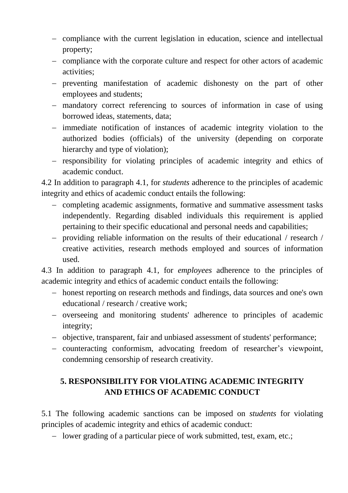- compliance with the current legislation in education, science and intellectual property;
- compliance with the corporate culture and respect for other actors of academic activities;
- preventing manifestation of academic dishonesty on the part of other employees and students;
- mandatory correct referencing to sources of information in case of using borrowed ideas, statements, data;
- immediate notification of instances of academic integrity violation to the authorized bodies (officials) of the university (depending on corporate hierarchy and type of violation);
- responsibility for violating principles of academic integrity and ethics of academic conduct.

4.2 In addition to paragraph 4.1, for *students* adherence to the principles of academic integrity and ethics of academic conduct entails the following:

- completing academic assignments, formative and summative assessment tasks independently. Regarding disabled individuals this requirement is applied pertaining to their specific educational and personal needs and capabilities;
- providing reliable information on the results of their educational / research / creative activities, research methods employed and sources of information used.

4.3 In addition to paragraph 4.1, for *employees* adherence to the principles of academic integrity and ethics of academic conduct entails the following:

- honest reporting on research methods and findings, data sources and one's own educational / research / creative work;
- overseeing and monitoring students' adherence to principles of academic integrity;
- objective, transparent, fair and unbiased assessment of students' performance;
- counteracting conformism, advocating freedom of researcher's viewpoint, condemning censorship of research creativity.

# **5. RESPONSIBILITY FOR VIOLATING ACADEMIC INTEGRITY AND ETHICS OF ACADEMIC CONDUCT**

5.1 The following academic sanctions can be imposed on *students* for violating principles of academic integrity and ethics of academic conduct:

- lower grading of a particular piece of work submitted, test, exam, etc.;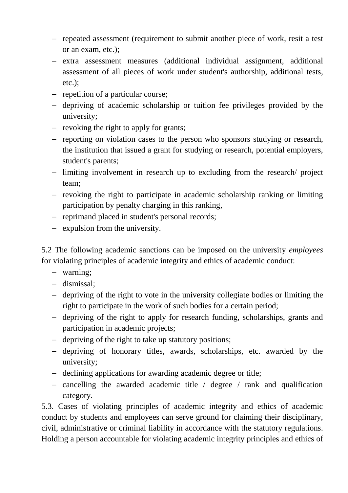- repeated assessment (requirement to submit another piece of work, resit a test or an exam, etc.);
- extra assessment measures (additional individual assignment, additional assessment of all pieces of work under student's authorship, additional tests, etc.);
- repetition of a particular course;
- depriving of academic scholarship or tuition fee privileges provided by the university;
- $-$  revoking the right to apply for grants;
- reporting on violation cases to the person who sponsors studying or research, the institution that issued a grant for studying or research, potential employers, student's parents;
- limiting involvement in research up to excluding from the research/ project team;
- $-$  revoking the right to participate in academic scholarship ranking or limiting participation by penalty charging in this ranking,
- reprimand placed in student's personal records;
- $-$  expulsion from the university.

5.2 The following academic sanctions can be imposed on the university *employees* for violating principles of academic integrity and ethics of academic conduct:

- warning;
- dismissal;
- depriving of the right to vote in the university collegiate bodies or limiting the right to participate in the work of such bodies for a certain period;
- depriving of the right to apply for research funding, scholarships, grants and participation in academic projects;
- depriving of the right to take up statutory positions;
- depriving of honorary titles, awards, scholarships, etc. awarded by the university;
- declining applications for awarding academic degree or title;
- cancelling the awarded academic title  $\ell$  degree  $\ell$  rank and qualification category.

5.3. Cases of violating principles of academic integrity and ethics of academic conduct by students and employees can serve ground for claiming their disciplinary, civil, administrative or criminal liability in accordance with the statutory regulations. Holding a person accountable for violating academic integrity principles and ethics of